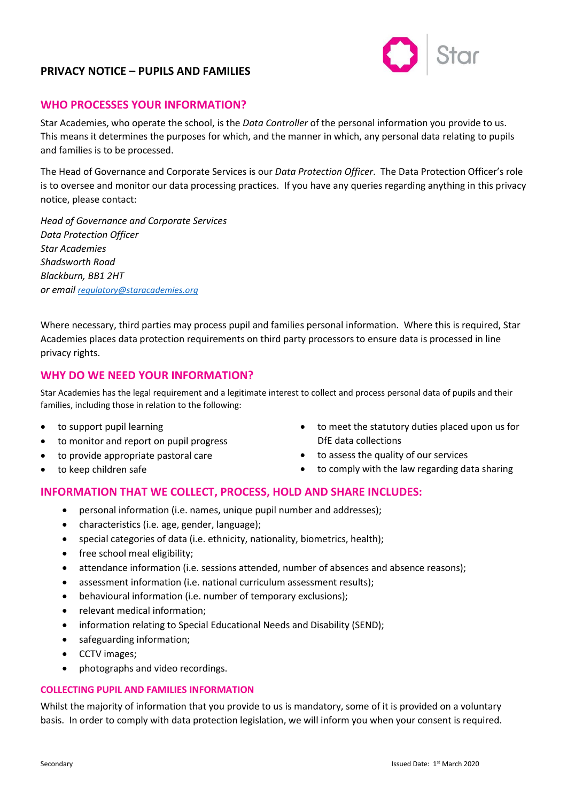# **PRIVACY NOTICE – PUPILS AND FAMILIES**



## **WHO PROCESSES YOUR INFORMATION?**

Star Academies, who operate the school, is the *Data Controller* of the personal information you provide to us. This means it determines the purposes for which, and the manner in which, any personal data relating to pupils and families is to be processed.

The Head of Governance and Corporate Services is our *Data Protection Officer*. The Data Protection Officer's role is to oversee and monitor our data processing practices. If you have any queries regarding anything in this privacy notice, please contact:

*Head of Governance and Corporate Services Data Protection Officer Star Academies Shadsworth Road Blackburn, BB1 2HT or email [regulatory@staracademies.org](mailto:regulatory@staracademies.org)*

Where necessary, third parties may process pupil and families personal information. Where this is required, Star Academies places data protection requirements on third party processors to ensure data is processed in line privacy rights.

## **WHY DO WE NEED YOUR INFORMATION?**

Star Academies has the legal requirement and a legitimate interest to collect and process personal data of pupils and their families, including those in relation to the following:

- to support pupil learning
- to monitor and report on pupil progress
- to provide appropriate pastoral care
- to keep children safe
- to meet the statutory duties placed upon us for DfE data collections
- to assess the quality of our services
- to comply with the law regarding data sharing

## **INFORMATION THAT WE COLLECT, PROCESS, HOLD AND SHARE INCLUDES:**

- personal information (i.e. names, unique pupil number and addresses);
- characteristics (i.e. age, gender, language);
- special categories of data (i.e. ethnicity, nationality, biometrics, health);
- free school meal eligibility;
- attendance information (i.e. sessions attended, number of absences and absence reasons);
- assessment information (i.e. national curriculum assessment results);
- behavioural information (i.e. number of temporary exclusions);
- relevant medical information;
- information relating to Special Educational Needs and Disability (SEND);
- safeguarding information;
- CCTV images;
- photographs and video recordings.

#### **COLLECTING PUPIL AND FAMILIES INFORMATION**

Whilst the majority of information that you provide to us is mandatory, some of it is provided on a voluntary basis. In order to comply with data protection legislation, we will inform you when your consent is required.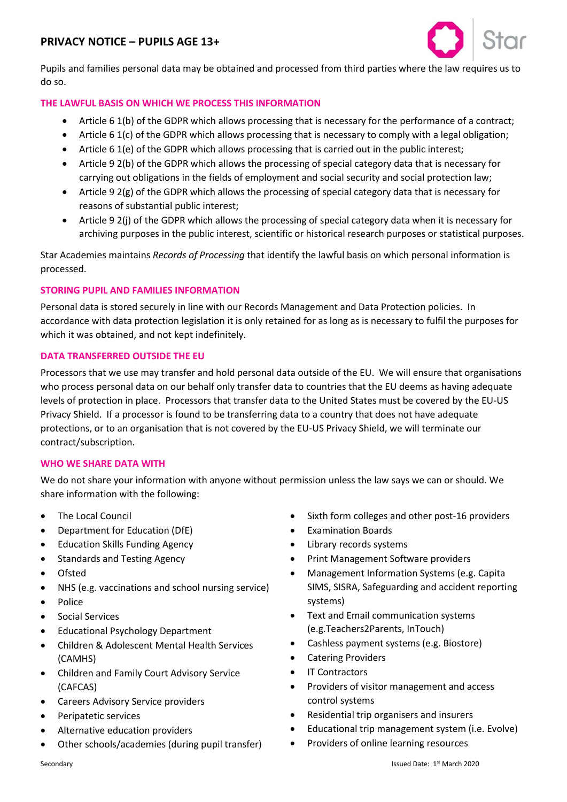# **PRIVACY NOTICE – PUPILS AGE 13+**



Pupils and families personal data may be obtained and processed from third parties where the law requires us to do so.

### **THE LAWFUL BASIS ON WHICH WE PROCESS THIS INFORMATION**

- Article 6 1(b) of the GDPR which allows processing that is necessary for the performance of a contract;
- Article 6 1(c) of the GDPR which allows processing that is necessary to comply with a legal obligation;
- Article 6 1(e) of the GDPR which allows processing that is carried out in the public interest;
- Article 9 2(b) of the GDPR which allows the processing of special category data that is necessary for carrying out obligations in the fields of employment and social security and social protection law;
- Article 9 2(g) of the GDPR which allows the processing of special category data that is necessary for reasons of substantial public interest;
- Article 9 2(j) of the GDPR which allows the processing of special category data when it is necessary for archiving purposes in the public interest, scientific or historical research purposes or statistical purposes.

Star Academies maintains *Records of Processing* that identify the lawful basis on which personal information is processed.

### **STORING PUPIL AND FAMILIES INFORMATION**

Personal data is stored securely in line with our Records Management and Data Protection policies. In accordance with data protection legislation it is only retained for as long as is necessary to fulfil the purposes for which it was obtained, and not kept indefinitely.

#### **DATA TRANSFERRED OUTSIDE THE EU**

Processors that we use may transfer and hold personal data outside of the EU. We will ensure that organisations who process personal data on our behalf only transfer data to countries that the EU deems as having adequate levels of protection in place. Processors that transfer data to the United States must be covered by the EU-US Privacy Shield. If a processor is found to be transferring data to a country that does not have adequate protections, or to an organisation that is not covered by the EU-US Privacy Shield, we will terminate our contract/subscription.

#### **WHO WE SHARE DATA WITH**

We do not share your information with anyone without permission unless the law says we can or should. We share information with the following:

- The Local Council
- Department for Education (DfE)
- Education Skills Funding Agency
- Standards and Testing Agency
- Ofsted
- NHS (e.g. vaccinations and school nursing service)
- Police
- Social Services
- Educational Psychology Department
- Children & Adolescent Mental Health Services (CAMHS)
- Children and Family Court Advisory Service (CAFCAS)
- Careers Advisory Service providers
- Peripatetic services
- Alternative education providers
- Other schools/academies (during pupil transfer)
- Sixth form colleges and other post-16 providers
- Examination Boards
- Library records systems
- Print Management Software providers
- Management Information Systems (e.g. Capita SIMS, SISRA, Safeguarding and accident reporting systems)
- Text and Email communication systems (e.g.Teachers2Parents, InTouch)
- Cashless payment systems (e.g. Biostore)
- Catering Providers
- **IT Contractors**
- Providers of visitor management and access control systems
- Residential trip organisers and insurers
- Educational trip management system (i.e. Evolve)
- Providers of online learning resources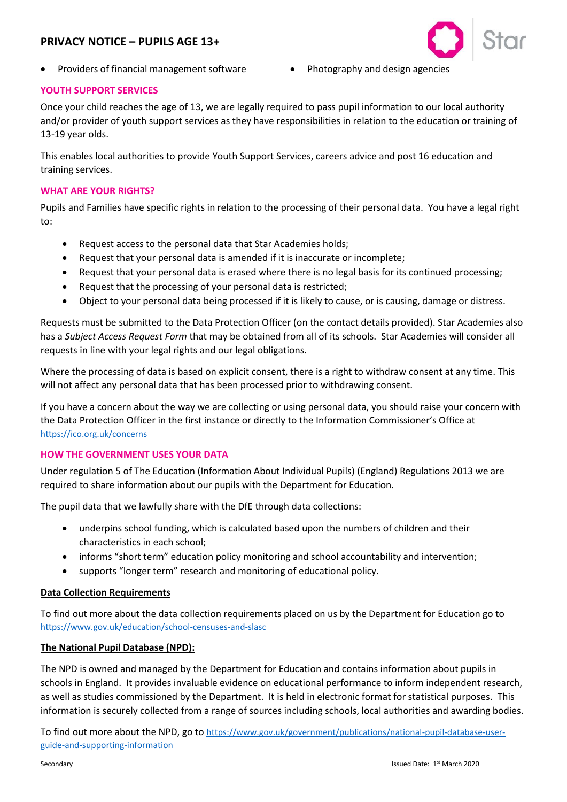# **PRIVACY NOTICE – PUPILS AGE 13+**



- Providers of financial management software Photography and design agencies
	-

## **YOUTH SUPPORT SERVICES**

Once your child reaches the age of 13, we are legally required to pass pupil information to our local authority and/or provider of youth support services as they have responsibilities in relation to the education or training of 13-19 year olds.

This enables local authorities to provide Youth Support Services, careers advice and post 16 education and training services.

### **WHAT ARE YOUR RIGHTS?**

Pupils and Families have specific rights in relation to the processing of their personal data. You have a legal right to:

- Request access to the personal data that Star Academies holds;
- Request that your personal data is amended if it is inaccurate or incomplete;
- Request that your personal data is erased where there is no legal basis for its continued processing;
- Request that the processing of your personal data is restricted;
- Object to your personal data being processed if it is likely to cause, or is causing, damage or distress.

Requests must be submitted to the Data Protection Officer (on the contact details provided). Star Academies also has a *Subject Access Request Form* that may be obtained from all of its schools. Star Academies will consider all requests in line with your legal rights and our legal obligations.

Where the processing of data is based on explicit consent, there is a right to withdraw consent at any time. This will not affect any personal data that has been processed prior to withdrawing consent.

If you have a concern about the way we are collecting or using personal data, you should raise your concern with the Data Protection Officer in the first instance or directly to the Information Commissioner's Office at <https://ico.org.uk/concerns>

### **HOW THE GOVERNMENT USES YOUR DATA**

Under regulation 5 of The Education (Information About Individual Pupils) (England) Regulations 2013 we are required to share information about our pupils with the Department for Education.

The pupil data that we lawfully share with the DfE through data collections:

- underpins school funding, which is calculated based upon the numbers of children and their characteristics in each school;
- informs "short term" education policy monitoring and school accountability and intervention;
- supports "longer term" research and monitoring of educational policy.

### **Data Collection Requirements**

To find out more about the data collection requirements placed on us by the Department for Education go to <https://www.gov.uk/education/school-censuses-and-slasc>

### **The National Pupil Database (NPD):**

The NPD is owned and managed by the Department for Education and contains information about pupils in schools in England. It provides invaluable evidence on educational performance to inform independent research, as well as studies commissioned by the Department. It is held in electronic format for statistical purposes. This information is securely collected from a range of sources including schools, local authorities and awarding bodies.

To find out more about the NPD, go to [https://www.gov.uk/government/publications/national-pupil-database-user](https://www.gov.uk/government/publications/national-pupil-database-user-guide-and-supporting-information)[guide-and-supporting-information](https://www.gov.uk/government/publications/national-pupil-database-user-guide-and-supporting-information)